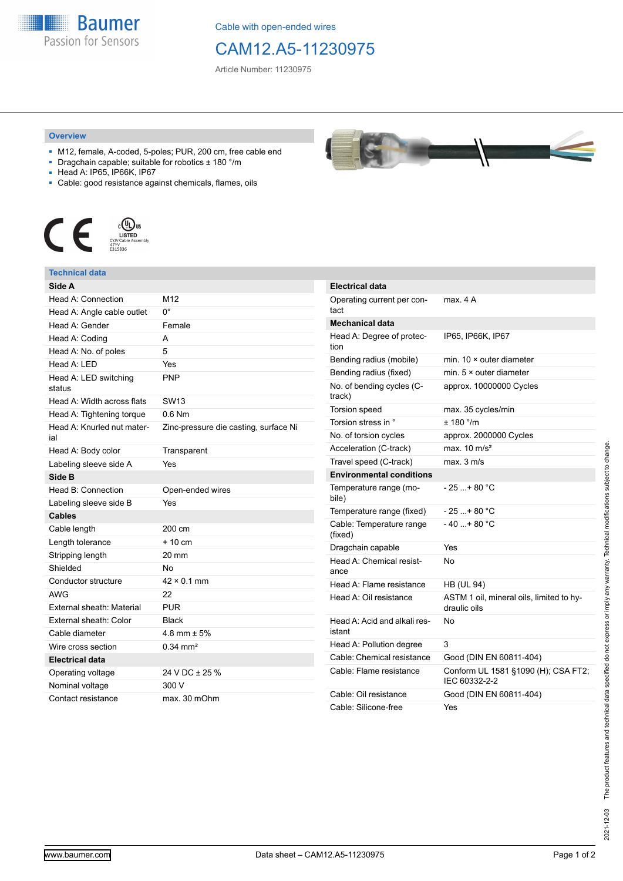**Baumer** Passion for Sensors

Cable with open-ended wires

# CAM12.A5-11230975

Article Number: 11230975

#### **Overview**

- M12, female, A-coded, 5-poles; PUR, 200 cm, free cable end
- Dragchain capable; suitable for robotics ± 180 °/m
- Head A: IP65, IP66K, IP67
- Cable: good resistance against chemicals, flames, oils



### **Technical data**

| Side A                            |                                       |
|-----------------------------------|---------------------------------------|
| Head A: Connection                | M12                                   |
| Head A: Angle cable outlet        | 0°                                    |
| Head A: Gender                    | Female                                |
| Head A: Coding                    | A                                     |
| Head A: No. of poles              | 5                                     |
| Head A: LED                       | Yes                                   |
| Head A: LED switching<br>status   | <b>PNP</b>                            |
| Head A: Width across flats        | <b>SW13</b>                           |
| Head A: Tightening torque         | $0.6$ Nm                              |
| Head A: Knurled nut mater-<br>ial | Zinc-pressure die casting, surface Ni |
| Head A: Body color                | Transparent                           |
| Labeling sleeve side A            | Yes                                   |
| Side B                            |                                       |
| Head B: Connection                | Open-ended wires                      |
| Labeling sleeve side B            | Yes                                   |
| <b>Cables</b>                     |                                       |
| Cable length                      | 200 cm                                |
| Length tolerance                  | $+10$ cm                              |
| Stripping length                  | 20 mm                                 |
| Shielded                          | No                                    |
| Conductor structure               | $42 \times 0.1$ mm                    |
| <b>AWG</b>                        | 22                                    |
| External sheath: Material         | <b>PUR</b>                            |
| External sheath: Color            | <b>Black</b>                          |
| Cable diameter                    | 4.8 mm $\pm$ 5%                       |
| Wire cross section                | $0.34 \text{ mm}^2$                   |
| Electrical data                   |                                       |
| Operating voltage                 | 24 V DC ± 25 %                        |
| Nominal voltage                   | 300 V                                 |
| Contact resistance                | max. 30 mOhm                          |

| <b>Electrical data</b>                 |                                                          |
|----------------------------------------|----------------------------------------------------------|
| Operating current per con-<br>tact     | max. 4 A                                                 |
| <b>Mechanical data</b>                 |                                                          |
| Head A: Degree of protec-<br>tion      | IP65, IP66K, IP67                                        |
| Bending radius (mobile)                | min. $10 \times$ outer diameter                          |
| Bending radius (fixed)                 | min. $5 \times$ outer diameter                           |
| No. of bending cycles (C-<br>track)    | approx. 10000000 Cycles                                  |
| Torsion speed                          | max. 35 cycles/min                                       |
| Torsion stress in °                    | ± 180 °/m                                                |
| No. of torsion cycles                  | approx. 2000000 Cycles                                   |
| Acceleration (C-track)                 | max. $10 \text{ m/s}^2$                                  |
| Travel speed (C-track)                 | max. 3 m/s                                               |
| <b>Environmental conditions</b>        |                                                          |
| Temperature range (mo-<br>bile)        | - 25 + 80 °C                                             |
| Temperature range (fixed)              | $-25+80 °C$                                              |
| Cable: Temperature range<br>(fixed)    | - 40 + 80 °C                                             |
| Dragchain capable                      | Yes                                                      |
| Head A: Chemical resist-<br>ance       | No                                                       |
| Head A: Flame resistance               | <b>HB (UL 94)</b>                                        |
| Head A: Oil resistance                 | ASTM 1 oil, mineral oils, limited to hy-<br>draulic oils |
| Head A: Acid and alkali res-<br>istant | No                                                       |
| Head A: Pollution degree               | 3                                                        |
| Cable: Chemical resistance             | Good (DIN EN 60811-404)                                  |
| Cable: Flame resistance                | Conform UL 1581 §1090 (H); CSA FT2;<br>IEC 60332-2-2     |
| Cable: Oil resistance                  | Good (DIN EN 60811-404)                                  |
| Cable: Silicone-free                   | Yes                                                      |